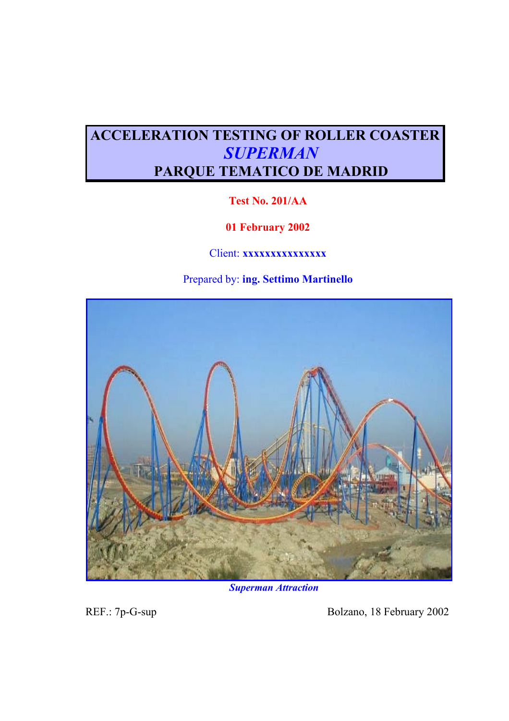# **ACCELERATION TESTING OF ROLLER COASTER** *SUPERMAN*  **PARQUE TEMATICO DE MADRID**

## **Test No. 201/AA**

## **01 February 2002**

## Client: **xxxxxxxxxxxxx**

## Prepared by: **ing. Settimo Martinello**



## *Superman Attraction*

REF.: 7p-G-sup Bolzano, 18 February 2002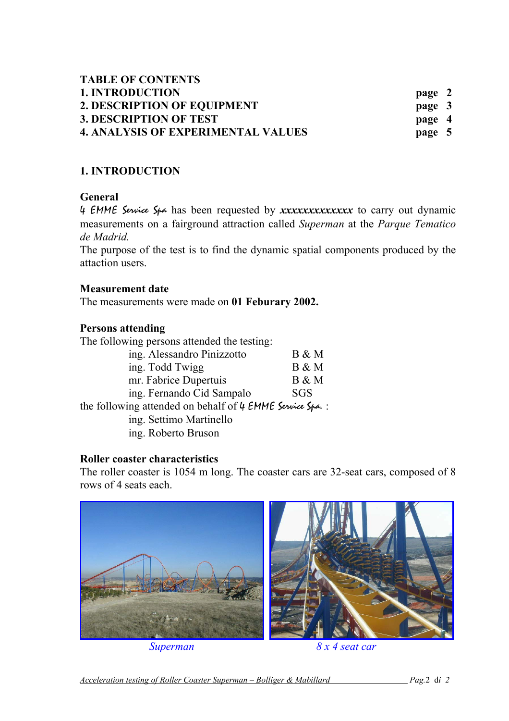| <b>TABLE OF CONTENTS</b>                  |        |
|-------------------------------------------|--------|
| <b>1. INTRODUCTION</b>                    | page 2 |
| 2. DESCRIPTION OF EQUIPMENT               | page 3 |
| <b>3. DESCRIPTION OF TEST</b>             | page 4 |
| <b>4. ANALYSIS OF EXPERIMENTAL VALUES</b> | page 5 |

## **1. INTRODUCTION**

## **General**

4 EMME Service Spa has been requested by *xxxxxxxxxxxxx* to carry out dynamic measurements on a fairground attraction called *Superman* at the *Parque Tematico de Madrid.*

The purpose of the test is to find the dynamic spatial components produced by the attaction users.

#### **Measurement date**

The measurements were made on **01 Feburary 2002.** 

#### **Persons attending**

The following persons attended the testing:

| ing. Alessandro Pinizzotto                                | $B \& M$   |  |  |
|-----------------------------------------------------------|------------|--|--|
| ing. Todd Twigg                                           | B & M      |  |  |
| mr. Fabrice Dupertuis                                     | B & M      |  |  |
| ing. Fernando Cid Sampalo                                 | <b>SGS</b> |  |  |
| the following attended on behalf of 4 EMME Service Spa. : |            |  |  |

ing. Settimo Martinello

ing. Roberto Bruson

## **Roller coaster characteristics**

The roller coaster is 1054 m long. The coaster cars are 32-seat cars, composed of 8 rows of 4 seats each.

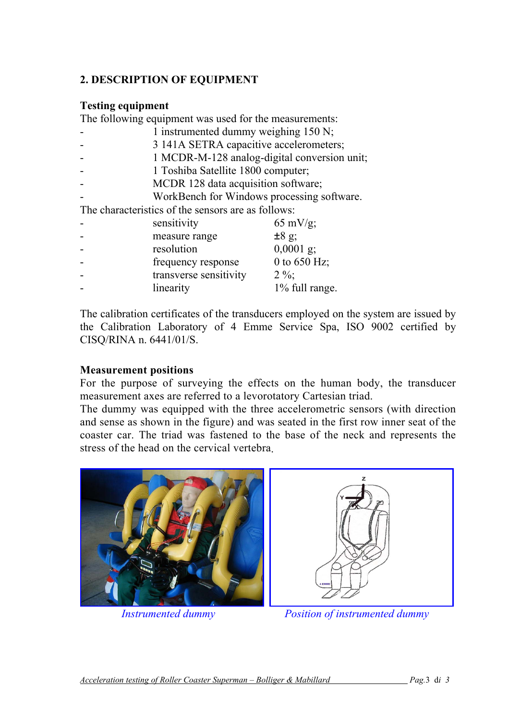## **2. DESCRIPTION OF EQUIPMENT**

#### **Testing equipment**

The following equipment was used for the measurements:

- 1 instrumented dummy weighing 150 N;
	- 3 141A SETRA capacitive accelerometers;
- 1 MCDR-M-128 analog-digital conversion unit;
- 1 Toshiba Satellite 1800 computer;
- MCDR 128 data acquisition software;
- WorkBench for Windows processing software.

The characteristics of the sensors are as follows:

| sensitivity            | $65 \text{ mV/g}$ ; |
|------------------------|---------------------|
| measure range          | $±8$ g;             |
| resolution             | $0,0001$ g;         |
| frequency response     | 0 to $650$ Hz;      |
| transverse sensitivity | $2\%$ ;             |
| linearity              | 1% full range.      |

The calibration certificates of the transducers employed on the system are issued by the Calibration Laboratory of 4 Emme Service Spa, ISO 9002 certified by CISQ/RINA n. 6441/01/S.

## **Measurement positions**

For the purpose of surveying the effects on the human body, the transducer measurement axes are referred to a levorotatory Cartesian triad.

The dummy was equipped with the three accelerometric sensors (with direction and sense as shown in the figure) and was seated in the first row inner seat of the coaster car. The triad was fastened to the base of the neck and represents the stress of the head on the cervical vertebra.





*Instrumented dummy Position of instrumented dummy*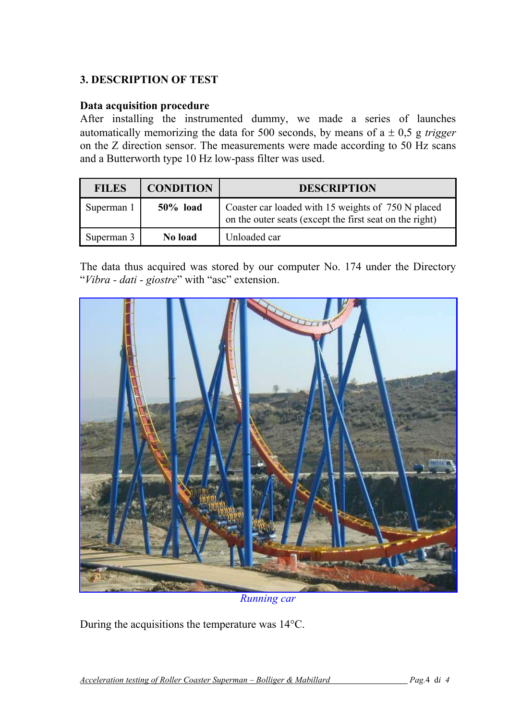## **3. DESCRIPTION OF TEST**

#### **Data acquisition procedure**

After installing the instrumented dummy, we made a series of launches automatically memorizing the data for 500 seconds, by means of a ± 0,5 g *trigger* on the Z direction sensor. The measurements were made according to 50 Hz scans and a Butterworth type 10 Hz low-pass filter was used.

| <b>FILES</b> | <b>CONDITION</b> | <b>DESCRIPTION</b>                                                                                            |
|--------------|------------------|---------------------------------------------------------------------------------------------------------------|
| Superman 1   | $50\%$ load      | Coaster car loaded with 15 weights of 750 N placed<br>on the outer seats (except the first seat on the right) |
| Superman 3   | No load          | Unloaded car                                                                                                  |

The data thus acquired was stored by our computer No. 174 under the Directory "*Vibra - dati - giostre*" with "asc" extension.



*Running car* 

During the acquisitions the temperature was 14°C.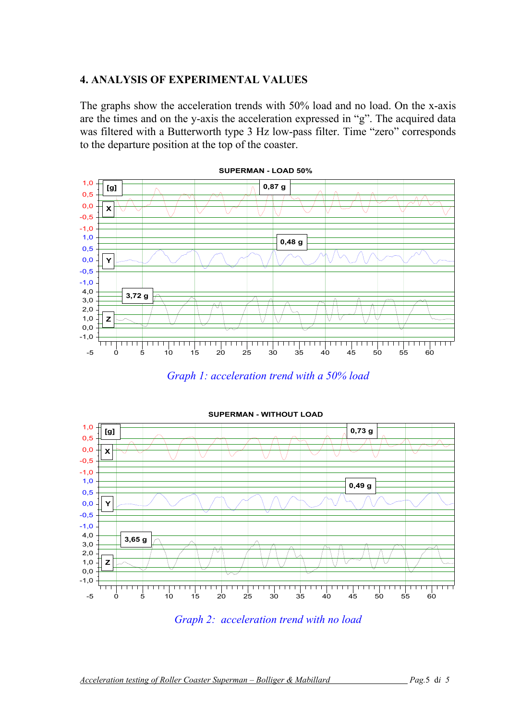#### **4. ANALYSIS OF EXPERIMENTAL VALUES**

The graphs show the acceleration trends with 50% load and no load. On the x-axis are the times and on the y-axis the acceleration expressed in "g". The acquired data was filtered with a Butterworth type 3 Hz low-pass filter. Time "zero" corresponds to the departure position at the top of the coaster.



*Graph 1: acceleration trend with a 50% load* 



*Graph 2: acceleration trend with no load*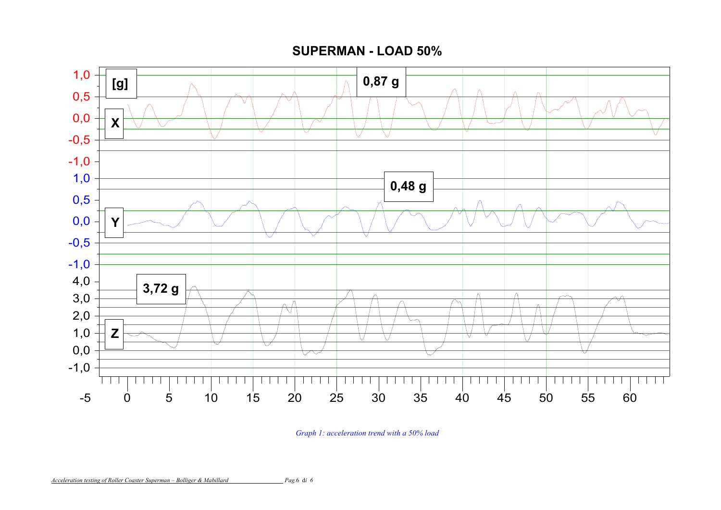**SUPERMAN - LOAD 50%**



*Graph 1: acceleration trend with a 50% load*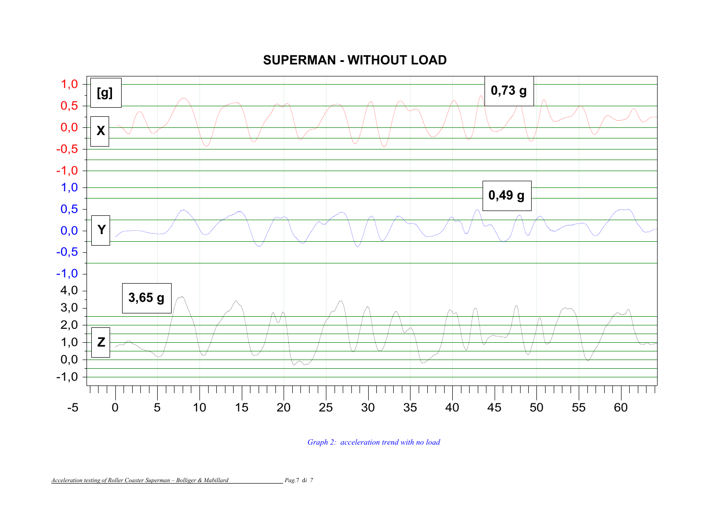**SUPERMAN - WITHOUT LOAD**



*Graph 2: acceleration trend with no load*